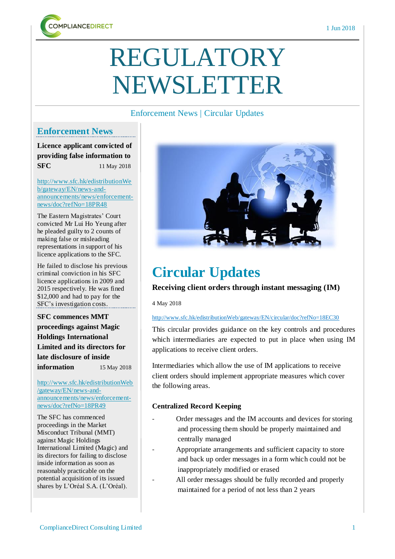

# REGULATORY NEWSLETTER

# Enforcement News | Circular Updates

# **Enforcement News**

**Licence applicant convicted of providing false information to SFC** 11 May 2018

[http://www.sfc.hk/edistributionWe](http://www.sfc.hk/edistributionWeb/gateway/EN/news-and-announcements/news/enforcement-news/doc?refNo=18PR48) [b/gateway/EN/news-and](http://www.sfc.hk/edistributionWeb/gateway/EN/news-and-announcements/news/enforcement-news/doc?refNo=18PR48)[announcements/news/enforcement](http://www.sfc.hk/edistributionWeb/gateway/EN/news-and-announcements/news/enforcement-news/doc?refNo=18PR48)[news/doc?refNo=18PR48](http://www.sfc.hk/edistributionWeb/gateway/EN/news-and-announcements/news/enforcement-news/doc?refNo=18PR48)

The Eastern Magistrates' Court convicted Mr Lui Ho Yeung after he pleaded guilty to 2 counts of making false or misleading representations in support of his licence applications to the SFC.

He failed to disclose his previous criminal conviction in his SFC licence applications in 2009 and 2015 respectively. He was fined \$12,000 and had to pay for the SFC's investigation costs.

**SFC commences MMT proceedings against Magic Holdings International Limited and its directors for late disclosure of inside information** 15 May 2018

[http://www.sfc.hk/edistributionWeb](http://www.sfc.hk/edistributionWeb/gateway/EN/news-and-announcements/news/enforcement-news/doc?refNo=18PR49) [/gateway/EN/news-and](http://www.sfc.hk/edistributionWeb/gateway/EN/news-and-announcements/news/enforcement-news/doc?refNo=18PR49)[announcements/news/enforcement](http://www.sfc.hk/edistributionWeb/gateway/EN/news-and-announcements/news/enforcement-news/doc?refNo=18PR49)[news/doc?refNo=18PR49](http://www.sfc.hk/edistributionWeb/gateway/EN/news-and-announcements/news/enforcement-news/doc?refNo=18PR49)

The SFC has commenced proceedings in the Market Misconduct Tribunal (MMT) against Magic Holdings International Limited (Magic) and its directors for failing to disclose inside information as soon as reasonably practicable on the potential acquisition of its issued shares by L'Oréal S.A. (L'Oréal).



# **Circular Updates**

# **Receiving client orders through instant messaging (IM) (IM**

4 May 2018

#### http://www.sfc.hk/edistributionWeb/gateway/EN/circular/doc?refNo=18EC30

This circular provides guidance on the key controls and procedures which intermediaries are expected to put in place when using IM applications to receive client orders.

Intermediaries which allow the use of IM applications to receive client orders should implement appropriate measures which cover the following areas.

### **Centralized Record Keeping**

- Order messages and the IM accounts and devices for storing and processing them should be properly maintained and centrally managed
- Appropriate arrangements and sufficient capacity to store and back up order messages in a form which could not be inappropriately modified or erased
- All order messages should be fully recorded and properly maintained for a period of not less than 2 years